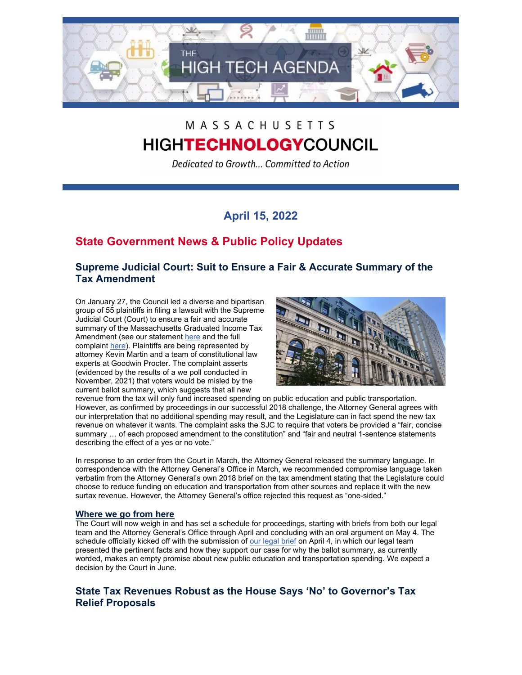

# MASSACHUSETTS **HIGHTECHNOLOGYCOUNCIL**

Dedicated to Growth... Committed to Action

# **April 15, 2022**

## **State Government News & Public Policy Updates**

## **Supreme Judicial Court: Suit to Ensure a Fair & Accurate Summary of the Tax Amendment**

On January 27, the Council led a diverse and bipartisan group of 55 plaintiffs in filing a lawsuit with the Supreme Judicial Court (Court) to ensure a fair and accurate summary of the Massachusetts Graduated Income Tax Amendment (see our statement [here](http://www.mhtc.org/wp-content/uploads/2022/01/Graduated-Income-Tax-Ballot-Question-is-Misleading-to-Voters-According-to-Lawsuit_MHTC-Release_1.27.2022.pdf) and the full complaint [here\)](http://www.mhtc.org/wp-content/uploads/2022/01/MHTC-Complaint_1.27.22.pdf). Plaintiffs are being represented by attorney Kevin Martin and a team of constitutional law experts at Goodwin Procter. The complaint asserts (evidenced by the results of a we poll conducted in November, 2021) that voters would be misled by the current ballot summary, which suggests that all new



revenue from the tax will only fund increased spending on public education and public transportation. However, as confirmed by proceedings in our successful 2018 challenge, the Attorney General agrees with our interpretation that no additional spending may result, and the Legislature can in fact spend the new tax revenue on whatever it wants. The complaint asks the SJC to require that voters be provided a "fair, concise summary … of each proposed amendment to the constitution" and "fair and neutral 1-sentence statements describing the effect of a yes or no vote."

In response to an order from the Court in March, the Attorney General released the summary language. In correspondence with the Attorney General's Office in March, we recommended compromise language taken verbatim from the Attorney General's own 2018 brief on the tax amendment stating that the Legislature could choose to reduce funding on education and transportation from other sources and replace it with the new surtax revenue. However, the Attorney General's office rejected this request as "one-sided."

### **Where we go from here**

The Court will now weigh in and has set a schedule for proceedings, starting with briefs from both our legal team and the Attorney General's Office through April and concluding with an oral argument on May 4. The schedule officially kicked off with the submission of [our legal brief](https://www.mhtc.org/wp-content/uploads/2022/04/Opening-Brief-of-Plaintiffs-and-Appellants-No.-SJC-13257.pdf) on April 4, in which our legal team presented the pertinent facts and how they support our case for why the ballot summary, as currently worded, makes an empty promise about new public education and transportation spending. We expect a decision by the Court in June.

## **State Tax Revenues Robust as the House Says 'No' to Governor's Tax Relief Proposals**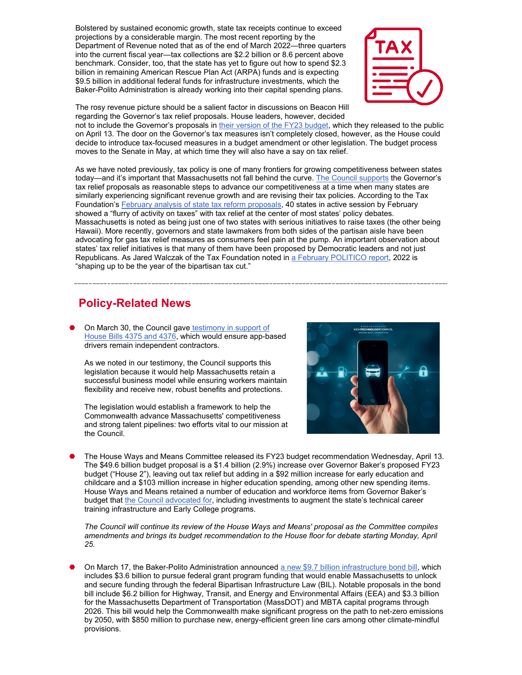Bolstered by sustained economic growth, state tax receipts continue to exceed projections by a considerable margin. The most recent reporting by the Department of Revenue noted that as of the end of March 2022—three quarters into the current fiscal year—tax collections are \$2.2 billion or 8.6 percent above benchmark. Consider, too, that the state has yet to figure out how to spend \$2.3 billion in remaining American Rescue Plan Act (ARPA) funds and is expecting \$9.5 billion in additional federal funds for infrastructure investments, which the Baker-Polito Administration is already working into their capital spending plans.



The rosy revenue picture should be a salient factor in discussions on Beacon Hill regarding the Governor's tax relief proposals. House leaders, however, decided

not to include the Governor's proposals in [their version of the FY23 budget,](https://malegislature.gov/Budget/FY2023/HouseWaysMeansBudget/Ways_Means_Final_Budget) which they released to the public on April 13. The door on the Governor's tax measures isn't completely closed, however, as the House could decide to introduce tax-focused measures in a budget amendment or other legislation. The budget process moves to the Senate in May, at which time they will also have a say on tax relief.

As we have noted previously, tax policy is one of many frontiers for growing competitiveness between states today—and it's important that Massachusetts not fall behind the curve. [The Council supports](https://www.mhtc.org/wp-content/uploads/2022/03/03.02.2022_MHTC-Statement-on-Gov.-Bakers-Tax-Relief-Proposals-to-Maintain-MA-Competitiveness_Final-1.pdf) the Governor's tax relief proposals as reasonable steps to advance our competitiveness at a time when many states are similarly experiencing significant revenue growth and are revising their tax policies. According to the Tax Foundation's [February analysis of state tax reform proposals,](https://taxfoundation.org/2022-state-tax-reform/) 40 states in active session by February showed a "flurry of activity on taxes" with tax relief at the center of most states' policy debates. Massachusetts is noted as being just one of two states with serious initiatives to raise taxes (the other being Hawaii). More recently, governors and state lawmakers from both sides of the partisan aisle have been advocating for gas tax relief measures as consumers feel pain at the pump. An important observation about states' tax relief initiatives is that many of them have been proposed by Democratic leaders and not just Republicans. As Jared Walczak of the Tax Foundation noted in [a February POLITICO report,](https://www.politico.com/news/2022/02/21/state-tax-cuts-00009451) 2022 is "shaping up to be the year of the bipartisan tax cut."

## **Policy-Related News**

On March 30, the Council gave testimony in support of [House Bills 4375 and 4376,](https://www.mhtc.org/wp-content/uploads/2022/04/MHTC-testimony-on-H4375-H.4376.pdf) which would ensure app-based drivers remain independent contractors.

As we noted in our testimony, the Council supports this legislation because it would help Massachusetts retain a successful business model while ensuring workers maintain flexibility and receive new, robust benefits and protections.

The legislation would establish a framework to help the Commonwealth advance Massachusetts' competitiveness and strong talent pipelines: two efforts vital to our mission at the Council.



⬣ The House Ways and Means Committee released its FY23 budget recommendation Wednesday, April 13. The \$49.6 billion budget proposal is a \$1.4 billion (2.9%) increase over Governor Baker's proposed FY23 budget ("House 2"), leaving out tax relief but adding in a \$92 million increase for early education and childcare and a \$103 million increase in higher education spending, among other new spending items. House Ways and Means retained a number of education and workforce items from Governor Baker's budget that [the Council advocated for,](https://www.mhtc.org/wp-content/uploads/2022/04/MHTC-letter-to-HWM-re-FY23-budget_Chair-Michlewitz.pdf) including investments to augment the state's technical career training infrastructure and Early College programs.

*The Council will continue its review of the House Ways and Means' proposal as the Committee compiles amendments and brings its budget recommendation to the House floor for debate starting Monday, April 25.*

On March 17, the Baker-Polito Administration announced [a new \\$9.7 billion infrastructure bond bill,](https://www.statehousenews.com/content/docs/2022/03-18_Baker_Transpo_Bond_Bill.pdf) which includes \$3.6 billion to pursue federal grant program funding that would enable Massachusetts to unlock and secure funding through the federal Bipartisan Infrastructure Law (BIL). Notable proposals in the bond bill include \$6.2 billion for Highway, Transit, and Energy and Environmental Affairs (EEA) and \$3.3 billion for the Massachusetts Department of Transportation (MassDOT) and MBTA capital programs through 2026. This bill would help the Commonwealth make significant progress on the path to net-zero emissions by 2050, with \$850 million to purchase new, energy-efficient green line cars among other climate-mindful provisions.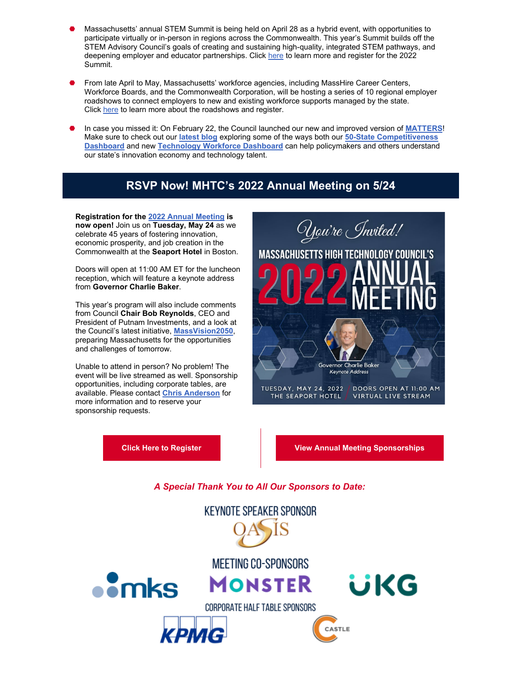- Massachusetts' annual STEM Summit is being held on April 28 as a hybrid event, with opportunities to participate virtually or in-person in regions across the Commonwealth. This year's Summit builds off the STEM Advisory Council's goals of creating and sustaining high-quality, integrated STEM pathways, and deepening employer and educator partnerships. Click [here](https://www.mass.gov/massachusetts-stem-summit-2022) to learn more and register for the 2022 Summit.
- ⬣ From late April to May, Massachusetts' workforce agencies, including MassHire Career Centers, Workforce Boards, and the Commonwealth Corporation, will be hosting a series of 10 regional employer roadshows to connect employers to new and existing workforce supports managed by the state. Click [here](https://www.mass.gov/futureskills-roadshows) to learn more about the roadshows and register.
- ⬣ In case you missed it: On February 22, the Council launched our new and improved version of **[MATTERS](https://www.mhtc.org/matters/)**! Make sure to check out our **[latest blog](https://www.mhtc.org/2022/03/02/what-matters-in-our-innovation-economy-and-workforce/)** exploring some of the ways both our **[50-State Competitiveness](https://www.mhtc.org/50-state-competitiveness-dashboard/)  [Dashboard](https://www.mhtc.org/50-state-competitiveness-dashboard/)** and new **[Technology Workforce Dashboard](https://www.mhtc.org/technology-workforce-dashboard/)** can help policymakers and others understand our state's innovation economy and technology talent.

# **RSVP Now! MHTC's 2022 Annual Meeting on 5/24**

**Registration for the [2022 Annual Meeting](https://www.eventbrite.com/e/mass-high-tech-councils-2022-annual-meeting-tickets-309983437807) is now open!** Join us on **Tuesday, May 24** as we celebrate 45 years of fostering innovation, economic prosperity, and job creation in the Commonwealth at the **Seaport Hotel** in Boston.

Doors will open at 11:00 AM ET for the luncheon reception, which will feature a keynote address from **Governor Charlie Baker**.

This year's program will also include comments from Council **Chair Bob Reynolds**, CEO and President of Putnam Investments, and a look at the Council's latest initiative, **[MassVision2050](https://www.mhtc.org/massvision2050/)**, preparing Massachusetts for the opportunities and challenges of tomorrow.

Unable to attend in person? No problem! The event will be live streamed as well. Sponsorship opportunities, including corporate tables, are available. Please contact **[Chris Anderson](mailto:chris@mhtc.org)** for more information and to reserve your sponsorship requests.

(You're *In*vited! **MASSACHUSETTS HIGH TECHNOLOGY COUNCIL'S** Governor Charlie Baker Keynote Address TUESDAY, MAY 24, 2022 / DOORS OPEN AT 11:00 AM THE SEAPORT HOTEL VIRTUAL LIVE STREAM

**[Click Here to Register](https://www.eventbrite.com/e/mass-high-tech-councils-2022-annual-meeting-tickets-309983437807) [View Annual Meeting Sponsorships](https://www.mhtc.org/wp-content/uploads/2022/04/Mass-High-Tech-Council-2022-Annual-Meeting-Sponsorship-Opportunities-1.pdf)**

## *A Special Thank You to All Our Sponsors to Date:*

**KEYNOTE SPEAKER SPONSOR** MEETING CO-SPONSORS  $\bullet$ mks **MONSTER** üKG CORPORATE HALF TABLE SPONSORS CASTLE КРМС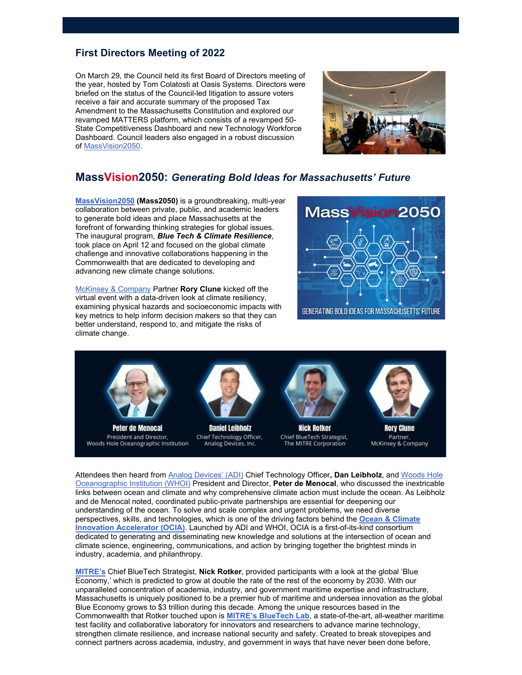## **First Directors Meeting of 2022**

On March 29, the Council held its first Board of Directors meeting of the year, hosted by Tom Colatosti at Oasis Systems. Directors were briefed on the status of the Council-led litigation to assure voters receive a fair and accurate summary of the proposed Tax Amendment to the Massachusetts Constitution and explored our revamped MATTERS platform, which consists of a revamped 50- State Competitiveness Dashboard and new Technology Workforce Dashboard. Council leaders also engaged in a robust discussion of [MassVision2050.](https://www.mhtc.org/massvision2050/)



## **MassVision2050:** *Generating Bold Ideas for Massachusetts' Future*

**[MassVision2050](https://www.mhtc.org/massvision2050/) (Mass2050)** is a groundbreaking, multi-year collaboration between private, public, and academic leaders to generate bold ideas and place Massachusetts at the forefront of forwarding thinking strategies for global issues. The inaugural program, *Blue Tech & Climate Resilience*, took place on April 12 and focused on the global climate challenge and innovative collaborations happening in the Commonwealth that are dedicated to developing and advancing new climate change solutions.

[McKinsey & Company](https://www.mckinsey.com/) Partner **Rory Clune** kicked off the virtual event with a data-driven look at climate resiliency, examining physical hazards and socioeconomic impacts with key metrics to help inform decision makers so that they can better understand, respond to, and mitigate the risks of climate change.

President and Director,





Chief Technology Officer, Woods Hole Oceanographic Institution Analog Devices, Inc.

**Nick Rotker** Chief BlueTech Strategist, The MITRE Corporation

**Rory Clune** Partner, McKinsey & Company

Attendees then heard from [Analog Devices' \(ADI\)](https://www.analog.com/en/index.html) Chief Technology Officer**, Dan Leibholz**, and [Woods Hole](https://www.whoi.edu/)  [Oceanographic Institution \(WHOI\)](https://www.whoi.edu/) President and Director, **Peter de Menocal**, who discussed the inextricable links between ocean and climate and why comprehensive climate action must include the ocean. As Leibholz and de Menocal noted, coordinated public-private partnerships are essential for deepening our understanding of the ocean. To solve and scale complex and urgent problems, we need diverse perspectives, skills, and technologies, which is one of the driving factors behind the **[Ocean & Climate](https://www.whoi.edu/ocia/)  [Innovation Accelerator \(OCIA\)](https://www.whoi.edu/ocia/)**. Launched by ADI and WHOI, OCIA is a first-of-its-kind consortium dedicated to generating and disseminating new knowledge and solutions at the intersection of ocean and climate science, engineering, communications, and action by bringing together the brightest minds in industry, academia, and philanthropy.

**[MITRE's](https://www.mitre.org/)** Chief BlueTech Strategist, **Nick Rotker**, provided participants with a look at the global 'Blue Economy,' which is predicted to grow at double the rate of the rest of the economy by 2030. With our unparalleled concentration of academia, industry, and government maritime expertise and infrastructure, Massachusetts is uniquely positioned to be a premier hub of maritime and undersea innovation as the global Blue Economy grows to \$3 trillion during this decade. Among the unique resources based in the Commonwealth that Rotker touched upon is **[MITRE's BlueTech Lab](https://bluetech.mitre.org/)**, a state-of-the-art, all-weather maritime test facility and collaborative laboratory for innovators and researchers to advance marine technology, strengthen climate resilience, and increase national security and safety. Created to break stovepipes and connect partners across academia, industry, and government in ways that have never been done before,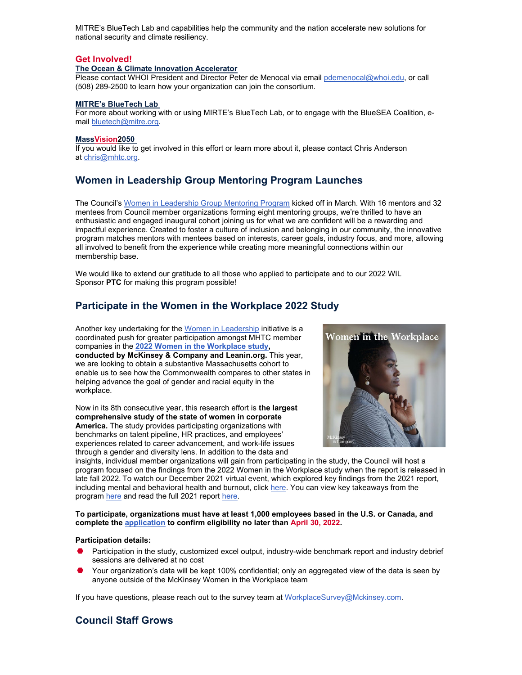MITRE's BlueTech Lab and capabilities help the community and the nation accelerate new solutions for national security and climate resiliency.

#### **Get Involved!**

#### **The Ocean & Climate Innovation Accelerator**

Please contact WHOI President and Director Peter de Menocal via email [pdemenocal@whoi.edu,](mailto:pdemenocal@whoi.edu) or call (508) 289-2500 to learn how your organization can join the consortium.

#### **MITRE's BlueTech Lab**

For more about working with or using MIRTE's BlueTech Lab, or to engage with the BlueSEA Coalition, email [bluetech@mitre.org.](mailto:bluetech@mitre.org)

#### **MassVision2050**

If you would like to get involved in this effort or learn more about it, please contact Chris Anderson at [chris@mhtc.org.](mailto:chris@mhtc.org)

### **Women in Leadership Group Mentoring Program Launches**

The Council's [Women in Leadership Group Mentoring Program](https://www.mhtc.org/women-in-leadership-group-mentoring/) kicked off in March. With 16 mentors and 32 mentees from Council member organizations forming eight mentoring groups, we're thrilled to have an enthusiastic and engaged inaugural cohort joining us for what we are confident will be a rewarding and impactful experience. Created to foster a culture of inclusion and belonging in our community, the innovative program matches mentors with mentees based on interests, career goals, industry focus, and more, allowing all involved to benefit from the experience while creating more meaningful connections within our membership base.

We would like to extend our gratitude to all those who applied to participate and to our 2022 WIL Sponsor **PTC** for making this program possible!

## **Participate in the Women in the Workplace 2022 Study**

Another key undertaking for the [Women in Leadership](https://www.mhtc.org/women-in-leadership/) initiative is a coordinated push for greater participation amongst MHTC member companies in the **[2022 Women in the Workplace study,](https://womenintheworkplace.com/) conducted by McKinsey & Company and Leanin.org.** This year, we are looking to obtain a substantive Massachusetts cohort to enable us to see how the Commonwealth compares to other states in helping advance the goal of gender and racial equity in the workplace.

Now in its 8th consecutive year, this research effort is **the largest comprehensive study of the state of women in corporate America.** The study provides participating organizations with benchmarks on talent pipeline, HR practices, and employees' experiences related to career advancement, and work-life issues through a gender and diversity lens. In addition to the data and



insights, individual member organizations will gain from participating in the study, the Council will host a program focused on the findings from the 2022 Women in the Workplace study when the report is released in late fall 2022. To watch our December 2021 virtual event, which explored key findings from the 2021 report, including mental and behavioral health and burnout, click [here.](https://vimeo.com/652659904) You can view key takeaways from the program [here](https://www.mhtc.org/wp-content/uploads/2021/12/Women-in-the-Workplace_Bold-Steps-to-Address-Burnout-the-Broken-Rung-Materials.pdf) and read the full 2021 report [here.](https://wiw-report.s3.amazonaws.com/Women_in_the_Workplace_2021.pdf)

#### **To participate, organizations must have at least 1,000 employees based in the U.S. or Canada, and complete the [application](https://www.surveys.online/jfe/form/SV_0Nj07Piaeux52ia) to confirm eligibility no later than April 30, 2022.**

#### **Participation details:**

- Participation in the study, customized excel output, industry-wide benchmark report and industry debrief sessions are delivered at no cost
- Your organization's data will be kept 100% confidential; only an aggregated view of the data is seen by anyone outside of the McKinsey Women in the Workplace team

If you have questions, please reach out to the survey team at [WorkplaceSurvey@Mckinsey.com.](mailto:WorkplaceSurvey@Mckinsey.com)

### **Council Staff Grows**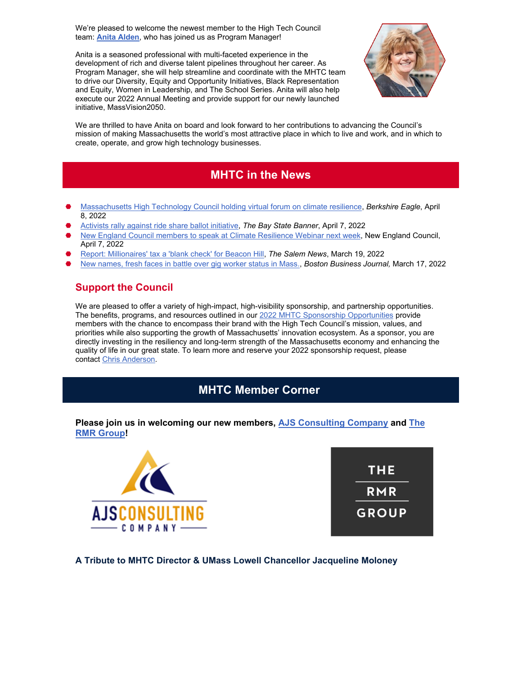We're pleased to welcome the newest member to the High Tech Council team: **[Anita Alden](https://www.linkedin.com/in/anita-alden-a96724/)**, who has joined us as Program Manager!

Anita is a seasoned professional with multi-faceted experience in the development of rich and diverse talent pipelines throughout her career. As Program Manager, she will help streamline and coordinate with the MHTC team to drive our Diversity, Equity and Opportunity Initiatives, Black Representation and Equity, Women in Leadership, and The School Series. Anita will also help execute our 2022 Annual Meeting and provide support for our newly launched initiative, MassVision2050.



We are thrilled to have Anita on board and look forward to her contributions to advancing the Council's mission of making Massachusetts the world's most attractive place in which to live and work, and in which to create, operate, and grow high technology businesses.

## **MHTC in the News**

- ⬣ [Massachusetts High Technology Council holding virtual forum on climate resilience,](https://www.berkshireeagle.com/business/mhtc-holding-virtual-forum-on-climate-resilience/article_ef4afd5a-b74a-11ec-895d-2f56887254b2.html) *Berkshire Eagle*, April 8, 2022
- ⬣ [Activists rally against ride share ballot initiative,](https://www.baystatebanner.com/2022/04/07/activists-rally-against-ride-share-ballot-initiative/) *The Bay State Banner*, April 7, 2022
- [New England Council members to speak at Climate Resilience Webinar next week,](https://www.newenglandcouncil.com/news-article/new-england-council-members-to-speak-at-climate-resilience-webinar-next-week/) New England Council, April 7, 2022
- ⬣ [Report: Millionaires' tax a 'blank check' for Beacon Hill,](https://www.salemnews.com/news/report-millionaires-tax-a-blank-check-for-beacon-hill/article_016b7874-a711-11ec-839c-7f7a42dfc708.html) *The Salem News*, March 19, 2022
- ⬣ [New names, fresh faces in battle over gig worker status in Mass.,](https://www.bizjournals.com/boston/news/2022/03/17/new-names-new-faces-in-battle-over-gig-worker-sta.html) *Boston Business Journal,* March 17, 2022

## **Support the Council**

We are pleased to offer a variety of high-impact, high-visibility sponsorship, and partnership opportunities. The benefits, programs, and resources outlined in our [2022 MHTC Sponsorship Opportunities](https://www.mhtc.org/wp-content/uploads/2022/04/Mass-High-Tech-Council-2022-Sponsorship-Opportunities-1.pdf) provide members with the chance to encompass their brand with the High Tech Council's mission, values, and priorities while also supporting the growth of Massachusetts' innovation ecosystem. As a sponsor, you are directly investing in the resiliency and long-term strength of the Massachusetts economy and enhancing the quality of life in our great state. To learn more and reserve your 2022 sponsorship request, please contact [Chris Anderson.](mailto:chris@mhtc.org)

## **MHTC Member Corner**

### **Please join us in welcoming our new members, [AJS Consulting Company](https://ajsccllc.com/) and [The](https://www.rmrgroup.com/Home/default.aspx)  [RMR Group!](https://www.rmrgroup.com/Home/default.aspx)**





**A Tribute to MHTC Director & UMass Lowell Chancellor Jacqueline Moloney**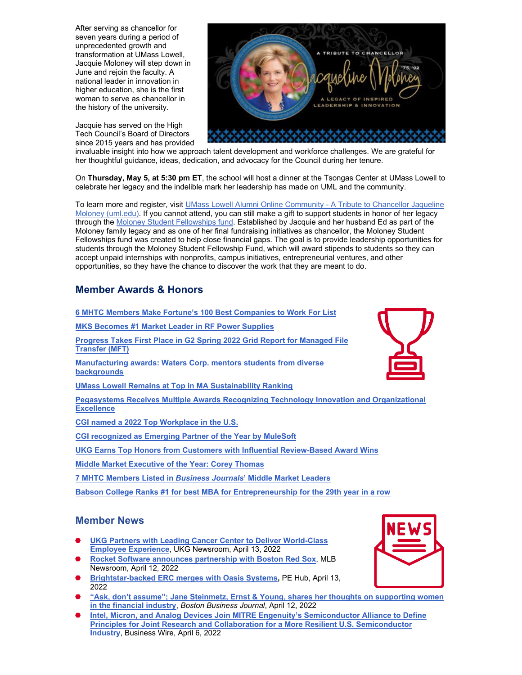After serving as chancellor for seven years during a period of unprecedented growth and transformation at UMass Lowell, Jacquie Moloney will step down in June and rejoin the faculty. A national leader in innovation in higher education, she is the first woman to serve as chancellor in the history of the university.

Jacquie has served on the High Tech Council's Board of Directors since 2015 years and has provided

invaluable insight into how we approach talent development and workforce challenges. We are grateful for her thoughtful guidance, ideas, dedication, and advocacy for the Council during her tenure.

On **Thursday, May 5, at 5:30 pm ET**, the school will host a dinner at the Tsongas Center at UMass Lowell to celebrate her legacy and the indelible mark her leadership has made on UML and the community.

To learn more and register, visit [UMass Lowell Alumni Online Community - A Tribute to Chancellor Jaqueline](https://www.alumni.uml.edu/s/1355/lowell/rd16/interior.aspx?sid=1355&gid=4&pgid=9603&content_id=16107&utm_source=sfmc&utm_medium=email&utm_campaign=FY22_ChancellorTribute-E1_05052022&utm_term=https%3a%2f%2fwww.alumni.uml.edu%2fs%2f1355%2flowell%2frd16%2finterior.aspx%3fsid%3d1355%26gid%3d4%26pgid%3d9603%26content_id%3d16107&utm_id=308562&sfmc_id=62791338&appealcode=)  [Moloney \(uml.edu\).](https://www.alumni.uml.edu/s/1355/lowell/rd16/interior.aspx?sid=1355&gid=4&pgid=9603&content_id=16107&utm_source=sfmc&utm_medium=email&utm_campaign=FY22_ChancellorTribute-E1_05052022&utm_term=https%3a%2f%2fwww.alumni.uml.edu%2fs%2f1355%2flowell%2frd16%2finterior.aspx%3fsid%3d1355%26gid%3d4%26pgid%3d9603%26content_id%3d16107&utm_id=308562&sfmc_id=62791338&appealcode=) If you cannot attend, you can still make a gift to support students in honor of her legacy through the [Moloney Student Fellowships fund.](https://www.mhtc.org/wp-content/uploads/2022/04/Moloney-Student-Fellowships.pdf) Established by Jacquie and her husband Ed as part of the Moloney family legacy and as one of her final fundraising initiatives as chancellor, the Moloney Student Fellowships fund was created to help close financial gaps. The goal is to provide leadership opportunities for students through the Moloney Student Fellowship Fund, which will award stipends to students so they can accept unpaid internships with nonprofits, campus initiatives, entrepreneurial ventures, and other opportunities, so they have the chance to discover the work that they are meant to do.

## **Member Awards & Honors**

| 6 MHTC Members Make Fortune's 100 Best Companies to Work For List                                              |
|----------------------------------------------------------------------------------------------------------------|
| <b>MKS Becomes #1 Market Leader in RF Power Supplies</b>                                                       |
| Progress Takes First Place in G2 Spring 2022 Grid Report for Managed File<br><b>Transfer (MFT)</b>             |
| <b>Manufacturing awards: Waters Corp. mentors students from diverse</b><br><b>backgrounds</b>                  |
| <b>UMass Lowell Remains at Top in MA Sustainability Ranking</b>                                                |
| Pegasystems Receives Multiple Awards Recognizing Technology Innovation and Organizational<br><b>Excellence</b> |
| CGI named a 2022 Top Workplace in the U.S.                                                                     |
| <b>CGI recognized as Emerging Partner of the Year by MuleSoft</b>                                              |
| <b>UKG Earns Top Honors from Customers with Influential Review-Based Award Wins</b>                            |
| <b>Middle Market Executive of the Year: Corey Thomas</b>                                                       |
| 7 MHTC Members Listed in Business Journals' Middle Market Leaders                                              |

**[Babson College Ranks #1 for best MBA for Entrepreneurship for the 29th year in a row](https://www.usnews.com/best-graduate-schools/top-business-schools/entrepreneurship-rankings)**

### **Member News**

- ⬣ **[UKG Partners with Leading Cancer Center to Deliver World-Class](https://www.ukg.com/about-us/newsroom/ukg-partners-leading-cancer-center-deliver-world-class-employee-experience)  [Employee Experience](https://www.ukg.com/about-us/newsroom/ukg-partners-leading-cancer-center-deliver-world-class-employee-experience)**, UKG Newsroom, April 13, 2022
- ⬣ **[Rocket Software announces partnership with Boston Red Sox](https://www.mlb.com/press-release/rocket-software-announces-partnership-with-boston-red-sox)**, MLB Newsroom, April 12, 2022
- ⬣ **[Brightstar-backed ERC merges with Oasis Systems,](https://www.pehub.com/brightstar-backed-erc-merges-with-oasis-systems/)** PE Hub, April 13, 2022
- ⬣ **["Ask, don't assume"; Jane Steinmetz, Ernst & Young, shares her thoughts on supporting women](https://www.bizjournals.com/boston/news/2022/04/12/ask-don-t-assume-jane-steinmetz-ernst-young.html)  [in the financial industry](https://www.bizjournals.com/boston/news/2022/04/12/ask-don-t-assume-jane-steinmetz-ernst-young.html)**, *Boston Business Journal*, April 12, 2022
- ⬣ **[Intel, Micron, and Analog Devices Join MITRE Engenuity's Semiconductor Alliance to Define](https://www.businesswire.com/news/home/20220406005283/en)  [Principles for Joint Research and Collaboration](https://www.businesswire.com/news/home/20220406005283/en) for a More Resilient U.S. Semiconductor [Industry](https://www.businesswire.com/news/home/20220406005283/en)**, Business Wire, April 6, 2022